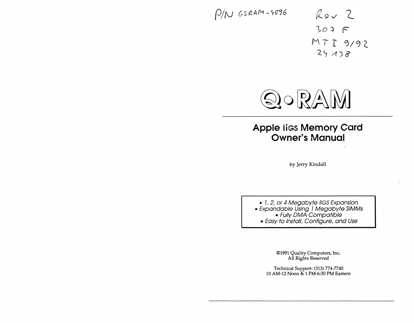# $P/N$  GSRAM-4096

*k9J* (\_  $307 F$  $MTI9192$  $24138$ 



# **Apple liss Memory Card Owner's Manual**

by Jerry Kindall

• 1, 2, or 4 Megabyte IIGS Expansion • Expandable Using 1 Megabyte SIMMs • Fully DMA Compatible • Easy to Install, Configure, and Use

> ©1991 Quality Computers, Inc. All Rights Reserved

Technical Support: (313) 774-7740 10 AM-12 Noon & 1 PM-6:30PM Eastern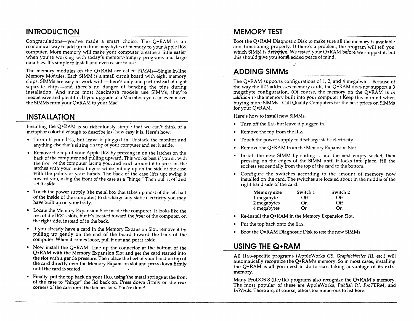## **INTRODUCTION**

Congratulations-you've made a smart choice. The  $Q \cdot RAM$  is an economical way to add up to four megabytes of memory to your Apple liGS computer. More memory will make your computer breathe a little easier when you're working with today's memory-hungry programs and large data files. It's simple to install and even easier to use.

The memory modules on the Q•RAM are called SIMMs—Single In-line Memory Modules. Each SIMM is a small circuit board with eight memory chips. SIMMs are easy to work with--there's only one part instead of eight separate chips-and there's no danger of bending the pins during installation. And since most Macintosh models use SIMMs, they're inexpensive and plentiful. If you upgrade to a Macintosh you can even move the SIMMs from your Q• RAM to your Mac!

## **INSTALLATION**

Installing the  $Q \cdot RAM$  is so ridiculously simple that we can't think of a metaphor colorful  $P$  ough to describe just how easy it is. Here's how:

- Turn off your Ilgs, but leave it plugged in. Unstack the monitor and anything else tha·'s sitting on top of your computer and set it aside.
- Remove the top of your Apple IIGS by pressing in on the latches on the back of the computer and pulling upward. This works best if you sit with the front of the computer facing you, and reach around it to press on the latches with your index fingers while pulling up on the side of the case with the palms of your hands. The back of the case lifts up; swing it toward you, using the front of the case as a "hinge." Then pull it off and set it aside.
- Touch the power supply (the metal box that takes up most of the left half of the inside of the computer) to discharge any static electricity you may have built up on your body.
- Locate the Memory Expansion Slot inside the computer. It looks like the rest of the IIGS's slots, but it's located toward the *front* of the computer, on the right side, instead of in the back.
- If you already have a card in the Memory Expansion Slot, remove it by pulling up gently on the end of the board toward the back of the computer. When it comes loose, pull it out and put it aside.
- Now install the Q• RAM. Line up the connector at the bottom of the Q•RAM with the Memory Expansion Slot and get the card started into the slot with a gentle pressure. Then place the heel of your hand on top of the card directly over the Memory Expansion slot and press down firmly until the card is seated.
- Finally, put the top back on your IIGS, using 'the metal springs at the front of the case to "hinge" the lid back on. Press down firmly on the rear corners of the case until the latches lock. You're done!

#### **MEMORY TEST**

Boot the Q• RAM Diagnostic Disk to make sure all the memory is available and functioning properly. Jf there's a problem, the program will tell you which SIMM is defective. We tested your  $Q \cdot RAM$  before we shipped it, but this should give you some added peace of mind.

#### **ADDING SIMMs**

The Q•RAM supports configurations of 1, 2, and 4 megabytes. Because of the way the IIGS addresses memory cards, the Q• RAM does not support a 3 megabyte configuration. (Of course, the memory on the Q•RAM is *in addition to* the memory built into your computer.) Keep this in mind when buying more SIMMs. Call Quality Computers for the best prices on SIMMs for your Q•RAM.

Here's how to install new SIMMs.

- Turn off the liGS but leave it plugged in.
- Remove the top from the liGs.
- Touch the power supply to discharge static electricity.
- Remove the Q• RAM from the Memory Expansion Slot.
- Install the new SIMM by sliding it into the next empty socket, then pressing on the edges of the SIMM until it locks into place. Fill the sockets sequentially from the top of the card to the bottom.
- Configure the switches according to the amount of memory now installed on the card. The switches are located about in the middle of the right hand side of the card.

| Memory size | Switch 1 | Switch 2 |
|-------------|----------|----------|
| 1 megabyte  | Off      | Off      |
| 2 megabytes | On       | Off      |
| 4 megabytes | On       | On       |

- Re-install the Q• RAM in the Memory Expansion Slot.
- Put the top back onto the IIGS.
- Boot the Q•RAM Diagnostic Disk to test the new SIMMs.

#### **USING THE Q•RAM**

All lies-specific programs (AppleWorks GS, *GraphicWriter Ill,* etc.) will automatically recognize the Q•RAM's memory. So in most cases, installing the Q• RAM is all you need to do to start taking advantage of its extra memory.

Many ProDOS 8 (lle/IIc) programs also recognize the Q•RAM's memory. The most popular of these are AppleWorks, *Publish It!, ProTERM,* and *In Words.* There are, of course, others too numerous to list here.